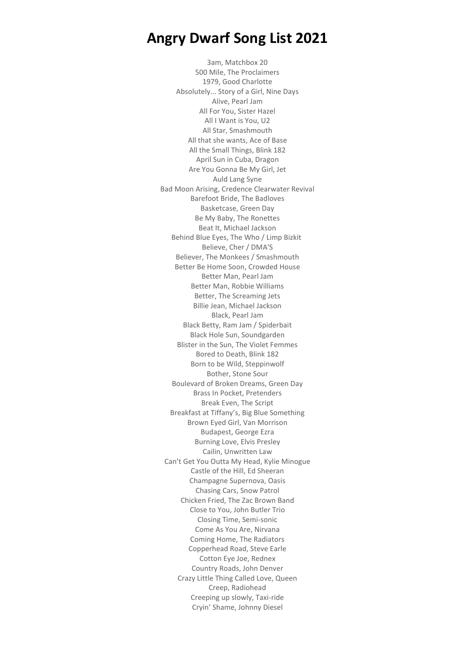3am, Matchbox 20 500 Mile, The Proclaimers 1979, Good Charlotte Absolutely... Story of a Girl, Nine Days Alive, Pearl Jam All For You, Sister Hazel All I Want is You, U2 All Star, Smashmouth All that she wants, Ace of Base All the Small Things, Blink 182 April Sun in Cuba, Dragon Are You Gonna Be My Girl, Jet Auld Lang Syne Bad Moon Arising, Credence Clearwater Revival Barefoot Bride, The Badloves Basketcase, Green Day Be My Baby, The Ronettes Beat It, Michael Jackson Behind Blue Eyes, The Who / Limp Bizkit Believe, Cher / DMA'S Believer, The Monkees / Smashmouth Better Be Home Soon, Crowded House Better Man, Pearl Jam Better Man, Robbie Williams Better, The Screaming Jets Billie Jean, Michael Jackson Black, Pearl Jam Black Betty, Ram Jam / Spiderbait Black Hole Sun, Soundgarden Blister in the Sun, The Violet Femmes Bored to Death, Blink 182 Born to be Wild, Steppinwolf Bother, Stone Sour Boulevard of Broken Dreams, Green Day Brass In Pocket, Pretenders Break Even, The Script Breakfast at Tiffany's, Big Blue Something Brown Eyed Girl, Van Morrison Budapest, George Ezra Burning Love, Elvis Presley Cailin, Unwritten Law Can't Get You Outta My Head, Kylie Minogue Castle of the Hill, Ed Sheeran Champagne Supernova, Oasis Chasing Cars, Snow Patrol Chicken Fried, The Zac Brown Band Close to You, John Butler Trio Closing Time, Semi-sonic Come As You Are, Nirvana Coming Home, The Radiators Copperhead Road, Steve Earle Cotton Eye Joe, Rednex Country Roads, John Denver Crazy Little Thing Called Love, Queen Creep, Radiohead Creeping up slowly, Taxi-ride Cryin' Shame, Johnny Diesel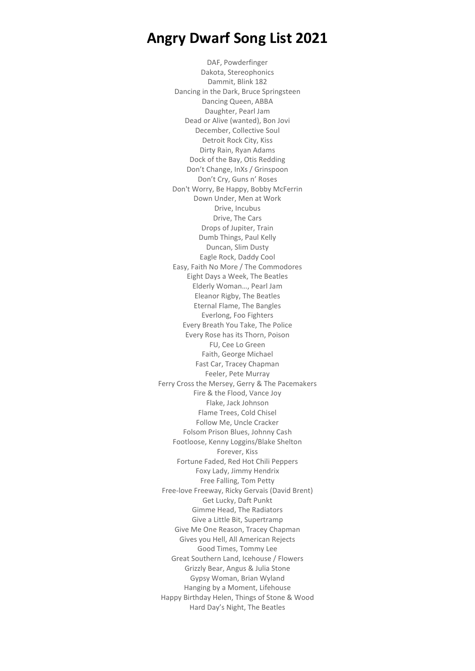DAF, Powderfinger Dakota, Stereophonics Dammit, Blink 182 Dancing in the Dark, Bruce Springsteen Dancing Queen, ABBA Daughter, Pearl Jam Dead or Alive (wanted), Bon Jovi December, Collective Soul Detroit Rock City, Kiss Dirty Rain, Ryan Adams Dock of the Bay, Otis Redding Don't Change, InXs / Grinspoon Don't Cry, Guns n' Roses Don't Worry, Be Happy, Bobby McFerrin Down Under, Men at Work Drive, Incubus Drive, The Cars Drops of Jupiter, Train Dumb Things, Paul Kelly Duncan, Slim Dusty Eagle Rock, Daddy Cool Easy, Faith No More / The Commodores Eight Days a Week, The Beatles Elderly Woman…, Pearl Jam Eleanor Rigby, The Beatles Eternal Flame, The Bangles Everlong, Foo Fighters Every Breath You Take, The Police Every Rose has its Thorn, Poison FU, Cee Lo Green Faith, George Michael Fast Car, Tracey Chapman Feeler, Pete Murray Ferry Cross the Mersey, Gerry & The Pacemakers Fire & the Flood, Vance Joy Flake, Jack Johnson Flame Trees, Cold Chisel Follow Me, Uncle Cracker Folsom Prison Blues, Johnny Cash Footloose, Kenny Loggins/Blake Shelton Forever, Kiss Fortune Faded, Red Hot Chili Peppers Foxy Lady, Jimmy Hendrix Free Falling, Tom Petty Free-love Freeway, Ricky Gervais (David Brent) Get Lucky, Daft Punkt Gimme Head, The Radiators Give a Little Bit, Supertramp Give Me One Reason, Tracey Chapman Gives you Hell, All American Rejects Good Times, Tommy Lee Great Southern Land, Icehouse / Flowers Grizzly Bear, Angus & Julia Stone Gypsy Woman, Brian Wyland Hanging by a Moment, Lifehouse Happy Birthday Helen, Things of Stone & Wood Hard Day's Night, The Beatles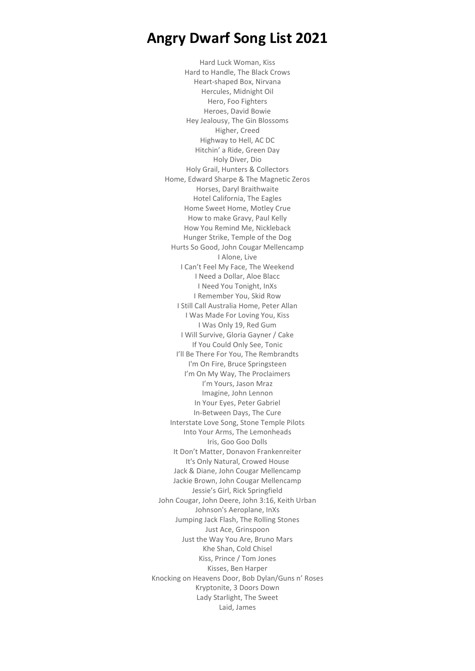Hard Luck Woman, Kiss Hard to Handle, The Black Crows Heart-shaped Box, Nirvana Hercules, Midnight Oil Hero, Foo Fighters Heroes, David Bowie Hey Jealousy, The Gin Blossoms Higher, Creed Highway to Hell, AC DC Hitchin' a Ride, Green Day Holy Diver, Dio Holy Grail, Hunters & Collectors Home, Edward Sharpe & The Magnetic Zeros Horses, Daryl Braithwaite Hotel California, The Eagles Home Sweet Home, Motley Crue How to make Gravy, Paul Kelly How You Remind Me, Nickleback Hunger Strike, Temple of the Dog Hurts So Good, John Cougar Mellencamp I Alone, Live I Can't Feel My Face, The Weekend I Need a Dollar, Aloe Blacc I Need You Tonight, InXs I Remember You, Skid Row I Still Call Australia Home, Peter Allan I Was Made For Loving You, Kiss I Was Only 19, Red Gum I Will Survive, Gloria Gayner / Cake If You Could Only See, Tonic I'll Be There For You, The Rembrandts I'm On Fire, Bruce Springsteen I'm On My Way, The Proclaimers I'm Yours, Jason Mraz Imagine, John Lennon In Your Eyes, Peter Gabriel In-Between Days, The Cure Interstate Love Song, Stone Temple Pilots Into Your Arms, The Lemonheads Iris, Goo Goo Dolls It Don't Matter, Donavon Frankenreiter It's Only Natural, Crowed House Jack & Diane, John Cougar Mellencamp Jackie Brown, John Cougar Mellencamp Jessie's Girl, Rick Springfield John Cougar, John Deere, John 3:16, Keith Urban Johnson's Aeroplane, InXs Jumping Jack Flash, The Rolling Stones Just Ace, Grinspoon Just the Way You Are, Bruno Mars Khe Shan, Cold Chisel Kiss, Prince / Tom Jones Kisses, Ben Harper Knocking on Heavens Door, Bob Dylan/Guns n' Roses Kryptonite, 3 Doors Down Lady Starlight, The Sweet Laid, James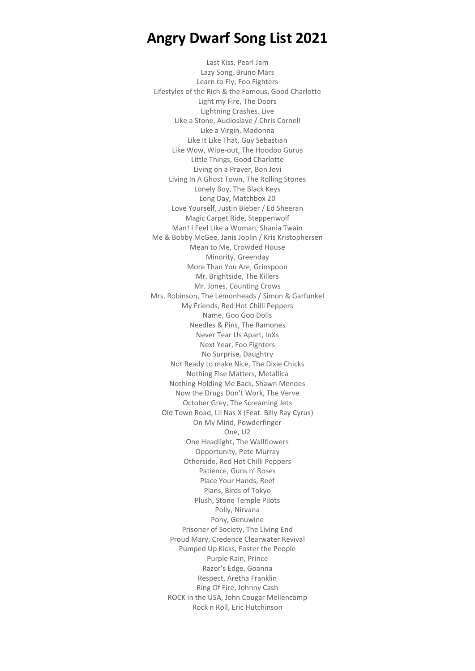Last Kiss, Pearl Jam Lazy Song, Bruno Mars Learn to Fly, Foo Fighters Lifestyles of the Rich & the Famous, Good Charlotte Light my Fire, The Doors Lightning Crashes, Live Like a Stone, Audioslave / Chris Cornell Like a Virgin, Madonna Like It Like That, Guy Sebastian Like Wow, Wipe-out, The Hoodoo Gurus Little Things, Good Charlotte Living on a Prayer, Bon Jovi Living In A Ghost Town, The Rolling Stones Lonely Boy, The Black Keys Long Day, Matchbox 20 Love Yourself, Justin Bieber / Ed Sheeran Magic Carpet Ride, Steppenwolf Man! I Feel Like a Woman, Shania Twain Me & Bobby McGee, Janis Joplin / Kris Kristophersen Mean to Me, Crowded House Minority, Greenday More Than You Are, Grinspoon Mr. Brightside, The Killers Mr. Jones, Counting Crows Mrs. Robinson, The Lemonheads / Simon & Garfunkel My Friends, Red Hot Chilli Peppers Name, Goo Goo Dolls Needles & Pins, The Ramones Never Tear Us Apart, InXs Next Year, Foo Fighters No Surprise, Daughtry Not Ready to make Nice, The Dixie Chicks Nothing Else Matters, Metallica Nothing Holding Me Back, Shawn Mendes Now the Drugs Don't Work, The Verve October Grey, The Screaming Jets Old Town Road, Lil Nas X (Feat. Billy Ray Cyrus) On My Mind, Powderfinger One, U2 One Headlight, The Wallflowers Opportunity, Pete Murray Otherside, Red Hot Chilli Peppers Patience, Guns n' Roses Place Your Hands, Reef Plans, Birds of Tokyo Plush, Stone Temple Pilots Polly, Nirvana Pony, Genuwine Prisoner of Society, The Living End Proud Mary, Credence Clearwater Revival Pumped Up Kicks, Foster the People Purple Rain, Prince Razor's Edge, Goanna Respect, Aretha Franklin Ring Of Fire, Johnny Cash ROCK in the USA, John Cougar Mellencamp Rock n Roll, Eric Hutchinson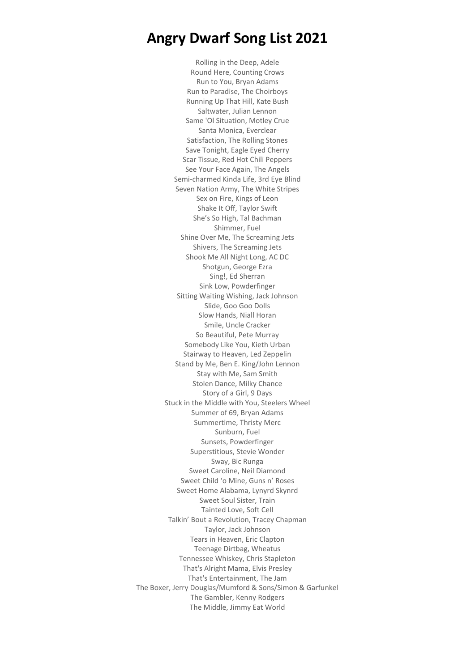Rolling in the Deep, Adele Round Here, Counting Crows Run to You, Bryan Adams Run to Paradise, The Choirboys Running Up That Hill, Kate Bush Saltwater, Julian Lennon Same 'Ol Situation, Motley Crue Santa Monica, Everclear Satisfaction, The Rolling Stones Save Tonight, Eagle Eyed Cherry Scar Tissue, Red Hot Chili Peppers See Your Face Again, The Angels Semi-charmed Kinda Life, 3rd Eye Blind Seven Nation Army, The White Stripes Sex on Fire, Kings of Leon Shake It Off, Taylor Swift She's So High, Tal Bachman Shimmer, Fuel Shine Over Me, The Screaming Jets Shivers, The Screaming Jets Shook Me All Night Long, AC DC Shotgun, George Ezra Sing!, Ed Sherran Sink Low, Powderfinger Sitting Waiting Wishing, Jack Johnson Slide, Goo Goo Dolls Slow Hands, Niall Horan Smile, Uncle Cracker So Beautiful, Pete Murray Somebody Like You, Kieth Urban Stairway to Heaven, Led Zeppelin Stand by Me, Ben E. King/John Lennon Stay with Me, Sam Smith Stolen Dance, Milky Chance Story of a Girl, 9 Days Stuck in the Middle with You, Steelers Wheel Summer of 69, Bryan Adams Summertime, Thristy Merc Sunburn, Fuel Sunsets, Powderfinger Superstitious, Stevie Wonder Sway, Bic Runga Sweet Caroline, Neil Diamond Sweet Child 'o Mine, Guns n' Roses Sweet Home Alabama, Lynyrd Skynrd Sweet Soul Sister, Train Tainted Love, Soft Cell Talkin' Bout a Revolution, Tracey Chapman Taylor, Jack Johnson Tears in Heaven, Eric Clapton Teenage Dirtbag, Wheatus Tennessee Whiskey, Chris Stapleton That's Alright Mama, Elvis Presley That's Entertainment, The Jam The Boxer, Jerry Douglas/Mumford & Sons/Simon & Garfunkel The Gambler, Kenny Rodgers The Middle, Jimmy Eat World